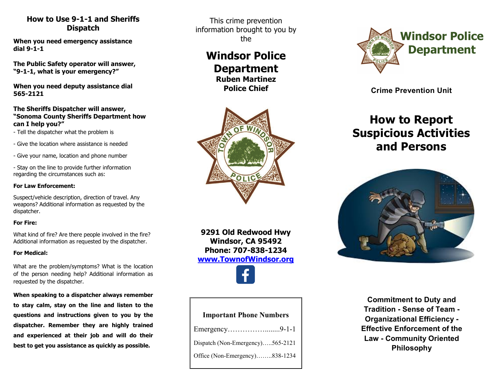### **How to Use 9-1-1 and Sheriffs Dispatch**

**When you need emergency assistance dial 9-1-1**

**The Public Safety operator will answer, "9-1-1, what is your emergency?"**

**When you need deputy assistance dial 565-2121**

### **The Sheriffs Dispatcher will answer, "Sonoma County Sheriffs Department how can I help you?"**

- Tell the dispatcher what the problem is
- Give the location where assistance is needed
- Give your name, location and phone number

- Stay on the line to provide further information regarding the circumstances such as:

### **For Law Enforcement:**

Suspect/vehicle description, direction of travel. Any weapons? Additional information as requested by the dispatcher.

### **For Fire:**

What kind of fire? Are there people involved in the fire? Additional information as requested by the dispatcher.

### **For Medical:**

What are the problem/symptoms? What is the location of the person needing help? Additional information as requested by the dispatcher.

## **When speaking to a dispatcher always remember to stay calm, stay on the line and listen to the questions and instructions given to you by the dispatcher. Remember they are highly trained and experienced at their job and will do their best to get you assistance as quickly as possible.**

This crime prevention information brought to you by the

## **Windsor Police Department Ruben Martinez**

**Police Chief** 



**9291 Old Redwood Hwy Windsor, CA 95492 Phone: 707-838-1234 [www.TownofWindsor.org](http://www.townofwindsor.org/)**

| <b>Important Phone Numbers</b>   |  |  |
|----------------------------------|--|--|
| Emergency9-1-1                   |  |  |
| Dispatch (Non-Emergency)565-2121 |  |  |
| Office (Non-Emergency)838-1234   |  |  |



**Crime Prevention Unit**

# **How to Report Suspicious Activities and Persons**



**Commitment to Duty and Tradition - Sense of Team - Organizational Efficiency - Effective Enforcement of the Law - Community Oriented Philosophy**